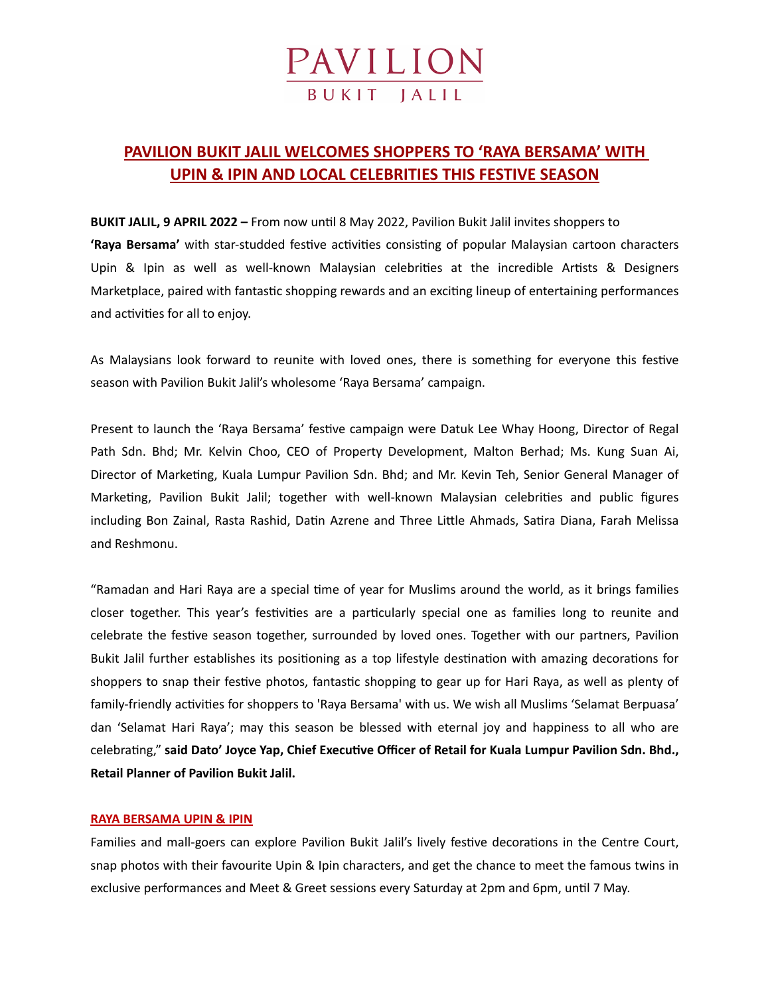# **PAVILION**

### **PAVILION BUKIT JALIL WELCOMES SHOPPERS TO 'RAYA BERSAMA' WITH UPIN & IPIN AND LOCAL CELEBRITIES THIS FESTIVE SEASON**

**BUKIT JALIL, 9 APRIL 2022 –** From now until 8 May 2022, Pavilion Bukit Jalil invites shoppers to **'Raya Bersama'** with star-studded festive activities consisting of popular Malaysian cartoon characters Upin & Ipin as well as well-known Malaysian celebrities at the incredible Artists & Designers Marketplace, paired with fantastic shopping rewards and an exciting lineup of entertaining performances and activities for all to enjoy.

As Malaysians look forward to reunite with loved ones, there is something for everyone this festive season with Pavilion Bukit Jalil's wholesome 'Raya Bersama' campaign.

Present to launch the 'Raya Bersama' festive campaign were Datuk Lee Whay Hoong, Director of Regal Path Sdn. Bhd; Mr. Kelvin Choo, CEO of Property Development, Malton Berhad; Ms. Kung Suan Ai, Director of Marketing, Kuala Lumpur Pavilion Sdn. Bhd; and Mr. Kevin Teh, Senior General Manager of Marketing, Pavilion Bukit Jalil; together with well-known Malaysian celebrities and public figures including Bon Zainal, Rasta Rashid, Datin Azrene and Three Little Ahmads, Satira Diana, Farah Melissa and Reshmonu.

"Ramadan and Hari Raya are a special time of year for Muslims around the world, as it brings families closer together. This year's festivities are a particularly special one as families long to reunite and celebrate the festive season together, surrounded by loved ones. Together with our partners, Pavilion Bukit Jalil further establishes its positioning as a top lifestyle destination with amazing decorations for shoppers to snap their festive photos, fantastic shopping to gear up for Hari Raya, as well as plenty of family-friendly activities for shoppers to 'Raya Bersama' with us. We wish all Muslims 'Selamat Berpuasa' dan 'Selamat Hari Raya'; may this season be blessed with eternal joy and happiness to all who are celebrating," **said Dato' Joyce Yap, Chief Executive Officer of Retail for Kuala Lumpur Pavilion Sdn. Bhd., Retail Planner of Pavilion Bukit Jalil.**

### **RAYA BERSAMA UPIN & IPIN**

Families and mall-goers can explore Pavilion Bukit Jalil's lively festive decorations in the Centre Court, snap photos with their favourite Upin & Ipin characters, and get the chance to meet the famous twins in exclusive performances and Meet & Greet sessions every Saturday at 2pm and 6pm, until 7 May.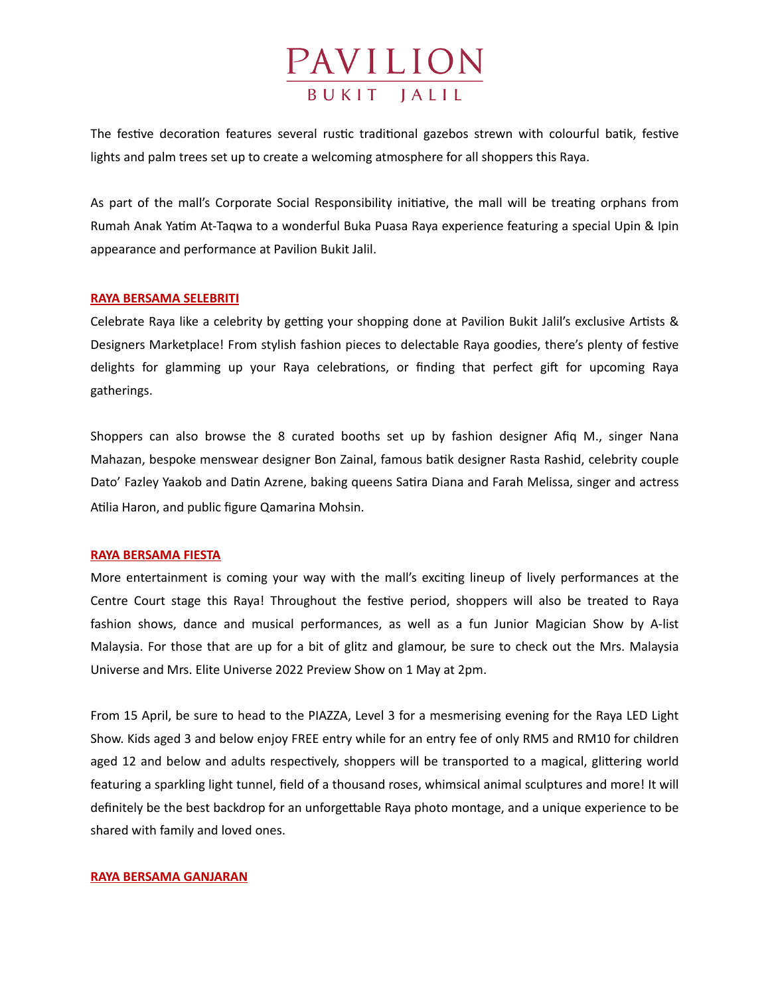

The festive decoration features several rustic traditional gazebos strewn with colourful batik, festive lights and palm trees set up to create a welcoming atmosphere for all shoppers this Raya.

As part of the mall's Corporate Social Responsibility initiative, the mall will be treating orphans from Rumah Anak Yatim At-Taqwa to a wonderful Buka Puasa Raya experience featuring a special Upin & Ipin appearance and performance at Pavilion Bukit Jalil.

### **RAYA BERSAMA SELEBRITI**

Celebrate Raya like a celebrity by getting your shopping done at Pavilion Bukit Jalil's exclusive Artists & Designers Marketplace! From stylish fashion pieces to delectable Raya goodies, there's plenty of festive delights for glamming up your Raya celebrations, or finding that perfect gift for upcoming Raya gatherings.

Shoppers can also browse the 8 curated booths set up by fashion designer Afiq M., singer Nana Mahazan, bespoke menswear designer Bon Zainal, famous batik designer Rasta Rashid, celebrity couple Dato' Fazley Yaakob and Datin Azrene, baking queens Satira Diana and Farah Melissa, singer and actress Atilia Haron, and public figure Qamarina Mohsin.

#### **RAYA BERSAMA FIESTA**

More entertainment is coming your way with the mall's exciting lineup of lively performances at the Centre Court stage this Raya! Throughout the festive period, shoppers will also be treated to Raya fashion shows, dance and musical performances, as well as a fun Junior Magician Show by A-list Malaysia. For those that are up for a bit of glitz and glamour, be sure to check out the Mrs. Malaysia Universe and Mrs. Elite Universe 2022 Preview Show on 1 May at 2pm.

From 15 April, be sure to head to the PIAZZA, Level 3 for a mesmerising evening for the Raya LED Light Show. Kids aged 3 and below enjoy FREE entry while for an entry fee of only RM5 and RM10 for children aged 12 and below and adults respectively, shoppers will be transported to a magical, glittering world featuring a sparkling light tunnel, field of a thousand roses, whimsical animal sculptures and more! It will definitely be the best backdrop for an unforgettable Raya photo montage, and a unique experience to be shared with family and loved ones.

### **RAYA BERSAMA GANJARAN**